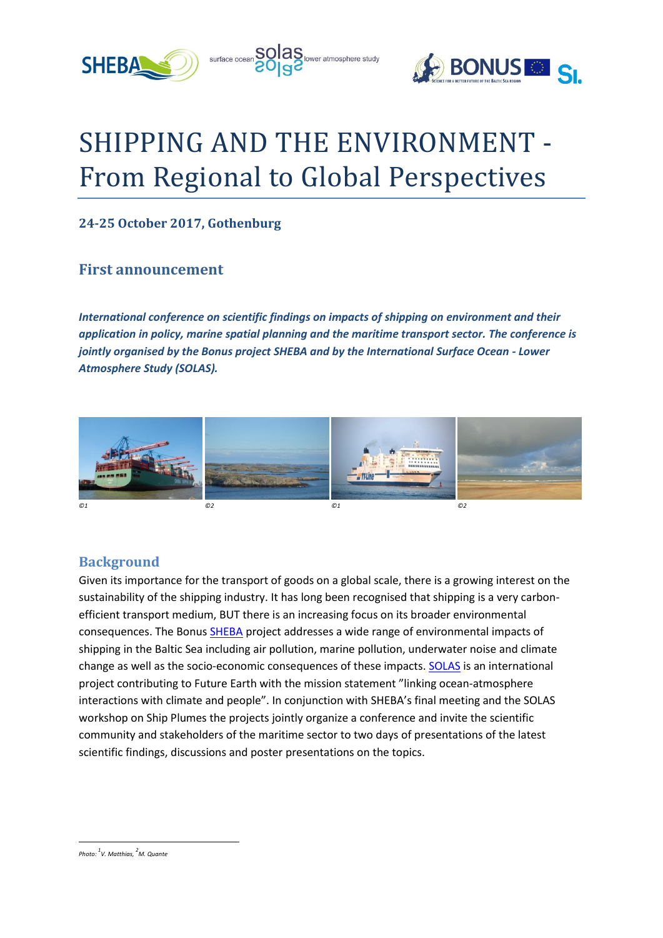



# SHIPPING AND THE ENVIRONMENT - From Regional to Global Perspectives

surface ocean **SOIAS** lower atmosphere study

## **24-25 October 2017, Gothenburg**

## **First announcement**

*International conference on scientific findings on impacts of shipping on environment and their application in policy, marine spatial planning and the maritime transport sector. The conference is jointly organised by the Bonus project SHEBA and by the International Surface Ocean - Lower Atmosphere Study (SOLAS).* 



#### **Background**

Given its importance for the transport of goods on a global scale, there is a growing interest on the sustainability of the shipping industry. It has long been recognised that shipping is a very carbonefficient transport medium, BUT there is an increasing focus on its broader environmental consequences. The Bonus [SHEBA](http://sheba-project.eu/) project addresses a wide range of environmental impacts of shipping in the Baltic Sea including air pollution, marine pollution, underwater noise and climate change as well as the socio-economic consequences of these impacts. [SOLAS](http://www.solas-int.org/) is an international project contributing to Future Earth with the mission statement "linking ocean-atmosphere interactions with climate and people". In conjunction with SHEBA's final meeting and the SOLAS workshop on Ship Plumes the projects jointly organize a conference and invite the scientific community and stakeholders of the maritime sector to two days of presentations of the latest scientific findings, discussions and poster presentations on the topics.

1 *Photo: <sup>1</sup> V. Matthias, 2 M. Quante*